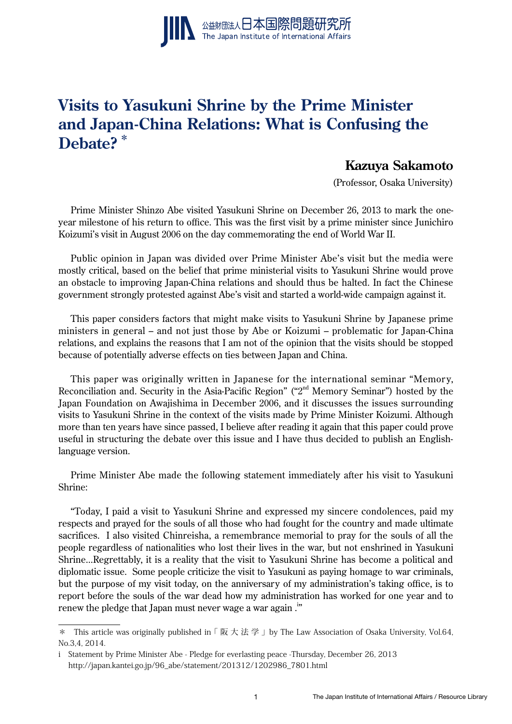

# **Visits to Yasukuni Shrine by the Prime Minister and Japan-China Relations: What is Confusing the Debate? \***

# **Kazuya Sakamoto**

(Professor, Osaka University)

Prime Minister Shinzo Abe visited Yasukuni Shrine on December 26, 2013 to mark the oneyear milestone of his return to office. This was the first visit by a prime minister since Junichiro Koizumi's visit in August 2006 on the day commemorating the end of World War II.

Public opinion in Japan was divided over Prime Minister Abe's visit but the media were mostly critical, based on the belief that prime ministerial visits to Yasukuni Shrine would prove an obstacle to improving Japan-China relations and should thus be halted. In fact the Chinese government strongly protested against Abe's visit and started a world-wide campaign against it.

This paper considers factors that might make visits to Yasukuni Shrine by Japanese prime ministers in general – and not just those by Abe or Koizumi – problematic for Japan-China relations, and explains the reasons that I am not of the opinion that the visits should be stopped because of potentially adverse effects on ties between Japan and China.

This paper was originally written in Japanese for the international seminar "Memory, Reconciliation and. Security in the Asia-Pacific Region" ("2<sup>nd</sup> Memory Seminar") hosted by the Japan Foundation on Awajishima in December 2006, and it discusses the issues surrounding visits to Yasukuni Shrine in the context of the visits made by Prime Minister Koizumi. Although more than ten years have since passed, I believe after reading it again that this paper could prove useful in structuring the debate over this issue and I have thus decided to publish an Englishlanguage version.

Prime Minister Abe made the following statement immediately after his visit to Yasukuni Shrine:

"Today, I paid a visit to Yasukuni Shrine and expressed my sincere condolences, paid my respects and prayed for the souls of all those who had fought for the country and made ultimate sacrifices. I also visited Chinreisha, a remembrance memorial to pray for the souls of all the people regardless of nationalities who lost their lives in the war, but not enshrined in Yasukuni Shrine...Regrettably, it is a reality that the visit to Yasukuni Shrine has become a political and diplomatic issue. Some people criticize the visit to Yasukuni as paying homage to war criminals, but the purpose of my visit today, on the anniversary of my administration's taking office, is to report before the souls of the war dead how my administration has worked for one year and to renew the pledge that Japan must never wage a war again  $.^{\rm !''}$ 

<sup>\*</sup> This article was originally published in  $\lceil \nabla \times \nabla \times \nabla \cdot \nabla \times \nabla \times \nabla \times \nabla \cdot \nabla \cdot \nabla \cdot \nabla \cdot \nabla \cdot \nabla \cdot \nabla \cdot \nabla \cdot \nabla \cdot \nabla \cdot \nabla \cdot \nabla \cdot \nabla \cdot \nabla \cdot \nabla \cdot \nabla \cdot \nabla \cdot \nabla \cdot \nabla \cdot \nabla \cdot \nabla \cdot \nabla \cdot \nabla \$ No.3,4, 2014.

i Statement by Prime Minister Abe - Pledge for everlasting peace -Thursday, December 26, 2013 http://japan.kantei.go.jp/96\_abe/statement/201312/1202986\_7801.html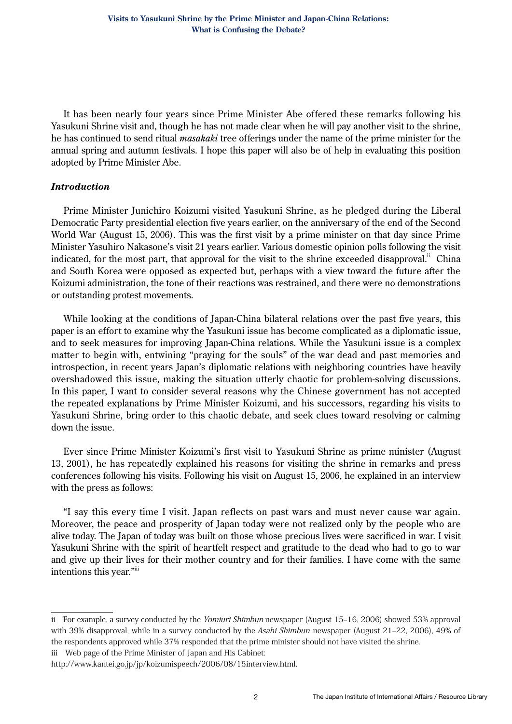It has been nearly four years since Prime Minister Abe offered these remarks following his Yasukuni Shrine visit and, though he has not made clear when he will pay another visit to the shrine, he has continued to send ritual *masakaki* tree offerings under the name of the prime minister for the annual spring and autumn festivals. I hope this paper will also be of help in evaluating this position adopted by Prime Minister Abe.

#### *Introduction*

Prime Minister Junichiro Koizumi visited Yasukuni Shrine, as he pledged during the Liberal Democratic Party presidential election five years earlier, on the anniversary of the end of the Second World War (August 15, 2006). This was the first visit by a prime minister on that day since Prime Minister Yasuhiro Nakasone's visit 21 years earlier. Various domestic opinion polls following the visit indicated, for the most part, that approval for the visit to the shrine exceeded disapproval.<sup>ii</sup> China and South Korea were opposed as expected but, perhaps with a view toward the future after the Koizumi administration, the tone of their reactions was restrained, and there were no demonstrations or outstanding protest movements.

While looking at the conditions of Japan-China bilateral relations over the past five years, this paper is an effort to examine why the Yasukuni issue has become complicated as a diplomatic issue, and to seek measures for improving Japan-China relations. While the Yasukuni issue is a complex matter to begin with, entwining "praying for the souls" of the war dead and past memories and introspection, in recent years Japan's diplomatic relations with neighboring countries have heavily overshadowed this issue, making the situation utterly chaotic for problem-solving discussions. In this paper, I want to consider several reasons why the Chinese government has not accepted the repeated explanations by Prime Minister Koizumi, and his successors, regarding his visits to Yasukuni Shrine, bring order to this chaotic debate, and seek clues toward resolving or calming down the issue.

Ever since Prime Minister Koizumi's first visit to Yasukuni Shrine as prime minister (August 13, 2001), he has repeatedly explained his reasons for visiting the shrine in remarks and press conferences following his visits. Following his visit on August 15, 2006, he explained in an interview with the press as follows:

"I say this every time I visit. Japan reflects on past wars and must never cause war again. Moreover, the peace and prosperity of Japan today were not realized only by the people who are alive today. The Japan of today was built on those whose precious lives were sacrificed in war. I visit Yasukuni Shrine with the spirit of heartfelt respect and gratitude to the dead who had to go to war and give up their lives for their mother country and for their families. I have come with the same intentions this year."iii

iii Web page of the Prime Minister of Japan and His Cabinet:

ii For example, a survey conducted by the Yomiuri Shimbun newspaper (August 15–16, 2006) showed 53% approval with 39% disapproval, while in a survey conducted by the Asahi Shimbun newspaper (August 21-22, 2006), 49% of the respondents approved while 37% responded that the prime minister should not have visited the shrine.

http://www.kantei.go.jp/jp/koizumispeech/2006/08/15interview.html.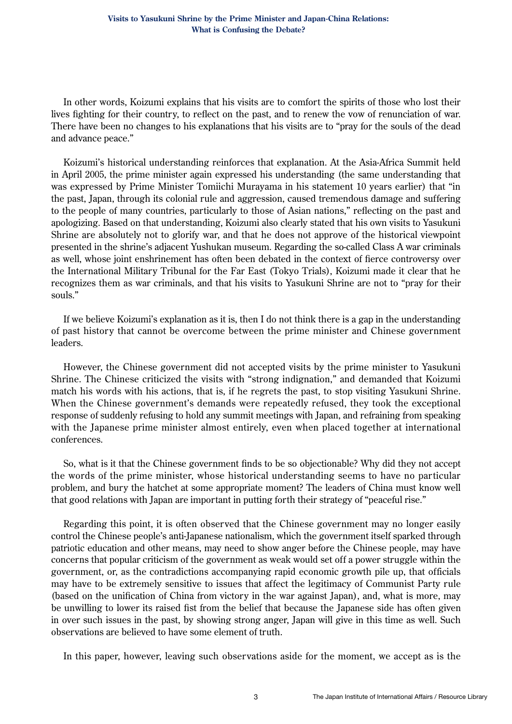In other words, Koizumi explains that his visits are to comfort the spirits of those who lost their lives fighting for their country, to reflect on the past, and to renew the vow of renunciation of war. There have been no changes to his explanations that his visits are to "pray for the souls of the dead and advance peace."

Koizumi's historical understanding reinforces that explanation. At the Asia-Africa Summit held in April 2005, the prime minister again expressed his understanding (the same understanding that was expressed by Prime Minister Tomiichi Murayama in his statement 10 years earlier) that "in the past, Japan, through its colonial rule and aggression, caused tremendous damage and suffering to the people of many countries, particularly to those of Asian nations," reflecting on the past and apologizing. Based on that understanding, Koizumi also clearly stated that his own visits to Yasukuni Shrine are absolutely not to glorify war, and that he does not approve of the historical viewpoint presented in the shrine's adjacent Yushukan museum. Regarding the so-called Class A war criminals as well, whose joint enshrinement has often been debated in the context of fierce controversy over the International Military Tribunal for the Far East (Tokyo Trials), Koizumi made it clear that he recognizes them as war criminals, and that his visits to Yasukuni Shrine are not to "pray for their souls."

If we believe Koizumi's explanation as it is, then I do not think there is a gap in the understanding of past history that cannot be overcome between the prime minister and Chinese government leaders.

However, the Chinese government did not accepted visits by the prime minister to Yasukuni Shrine. The Chinese criticized the visits with "strong indignation," and demanded that Koizumi match his words with his actions, that is, if he regrets the past, to stop visiting Yasukuni Shrine. When the Chinese government's demands were repeatedly refused, they took the exceptional response of suddenly refusing to hold any summit meetings with Japan, and refraining from speaking with the Japanese prime minister almost entirely, even when placed together at international conferences.

So, what is it that the Chinese government finds to be so objectionable? Why did they not accept the words of the prime minister, whose historical understanding seems to have no particular problem, and bury the hatchet at some appropriate moment? The leaders of China must know well that good relations with Japan are important in putting forth their strategy of "peaceful rise."

Regarding this point, it is often observed that the Chinese government may no longer easily control the Chinese people's anti-Japanese nationalism, which the government itself sparked through patriotic education and other means, may need to show anger before the Chinese people, may have concerns that popular criticism of the government as weak would set off a power struggle within the government, or, as the contradictions accompanying rapid economic growth pile up, that officials may have to be extremely sensitive to issues that affect the legitimacy of Communist Party rule (based on the unification of China from victory in the war against Japan), and, what is more, may be unwilling to lower its raised fist from the belief that because the Japanese side has often given in over such issues in the past, by showing strong anger, Japan will give in this time as well. Such observations are believed to have some element of truth.

In this paper, however, leaving such observations aside for the moment, we accept as is the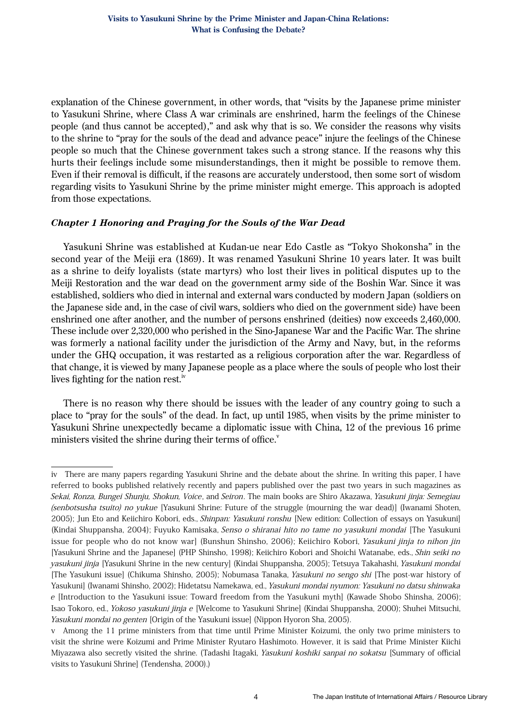explanation of the Chinese government, in other words, that "visits by the Japanese prime minister to Yasukuni Shrine, where Class A war criminals are enshrined, harm the feelings of the Chinese people (and thus cannot be accepted)," and ask why that is so. We consider the reasons why visits to the shrine to "pray for the souls of the dead and advance peace" injure the feelings of the Chinese people so much that the Chinese government takes such a strong stance. If the reasons why this hurts their feelings include some misunderstandings, then it might be possible to remove them. Even if their removal is difficult, if the reasons are accurately understood, then some sort of wisdom regarding visits to Yasukuni Shrine by the prime minister might emerge. This approach is adopted from those expectations.

#### *Chapter 1 Honoring and Praying for the Souls of the War Dead*

Yasukuni Shrine was established at Kudan-ue near Edo Castle as "Tokyo Shokonsha" in the second year of the Meiji era (1869). It was renamed Yasukuni Shrine 10 years later. It was built as a shrine to deify loyalists (state martyrs) who lost their lives in political disputes up to the Meiji Restoration and the war dead on the government army side of the Boshin War. Since it was established, soldiers who died in internal and external wars conducted by modern Japan (soldiers on the Japanese side and, in the case of civil wars, soldiers who died on the government side) have been enshrined one after another, and the number of persons enshrined (deities) now exceeds 2,460,000. These include over 2,320,000 who perished in the Sino-Japanese War and the Pacific War. The shrine was formerly a national facility under the jurisdiction of the Army and Navy, but, in the reforms under the GHQ occupation, it was restarted as a religious corporation after the war. Regardless of that change, it is viewed by many Japanese people as a place where the souls of people who lost their lives fighting for the nation rest.<sup>iv</sup>

There is no reason why there should be issues with the leader of any country going to such a place to "pray for the souls" of the dead. In fact, up until 1985, when visits by the prime minister to Yasukuni Shrine unexpectedly became a diplomatic issue with China, 12 of the previous 16 prime ministers visited the shrine during their terms of office. $\overline{v}$ 

iv There are many papers regarding Yasukuni Shrine and the debate about the shrine. In writing this paper, I have referred to books published relatively recently and papers published over the past two years in such magazines as Sekai, Ronza, Bungei Shunju, Shokun, Voice, and Seiron. The main books are Shiro Akazawa, Yasukuni jinja: Semegiau (senbotsusha tsuito) no yukue [Yasukuni Shrine: Future of the struggle (mourning the war dead)] (Iwanami Shoten, 2005); Jun Eto and Keiichiro Kobori, eds., Shinpan: Yasukuni ronshu [New edition: Collection of essays on Yasukuni] (Kindai Shuppansha, 2004); Fuyuko Kamisaka, Senso o shiranai hito no tame no yasukuni mondai [The Yasukuni issue for people who do not know war] (Bunshun Shinsho, 2006); Keiichiro Kobori, Yasukuni jinja to nihon jin [Yasukuni Shrine and the Japanese] (PHP Shinsho, 1998); Keiichiro Kobori and Shoichi Watanabe, eds., Shin seiki no yasukuni jinja [Yasukuni Shrine in the new century] (Kindai Shuppansha, 2005); Tetsuya Takahashi, Yasukuni mondai [The Yasukuni issue] (Chikuma Shinsho, 2005); Nobumasa Tanaka, Yasukuni no sengo shi [The post-war history of Yasukuni] (Iwanami Shinsho, 2002); Hidetatsu Namekawa, ed., Yasukuni mondai nyumon: Yasukuni no datsu shinwaka <sup>e</sup> [Introduction to the Yasukuni issue: Toward freedom from the Yasukuni myth] (Kawade Shobo Shinsha, 2006); Isao Tokoro, ed., Yokoso yasukuni jinja e [Welcome to Yasukuni Shrine] (Kindai Shuppansha, 2000); Shuhei Mitsuchi, Yasukuni mondai no genten [Origin of the Yasukuni issue] (Nippon Hyoron Sha, 2005).

v Among the 11 prime ministers from that time until Prime Minister Koizumi, the only two prime ministers to visit the shrine were Koizumi and Prime Minister Ryutaro Hashimoto. However, it is said that Prime Minister Kiichi Miyazawa also secretly visited the shrine. (Tadashi Itagaki, Yasukuni koshiki sanpai no sokatsu [Summary of official visits to Yasukuni Shrine] (Tendensha, 2000).)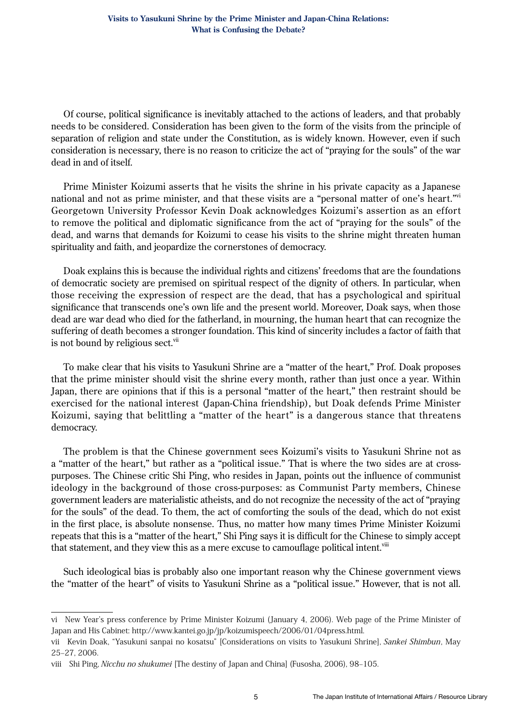Of course, political significance is inevitably attached to the actions of leaders, and that probably needs to be considered. Consideration has been given to the form of the visits from the principle of separation of religion and state under the Constitution, as is widely known. However, even if such consideration is necessary, there is no reason to criticize the act of "praying for the souls" of the war dead in and of itself.

Prime Minister Koizumi asserts that he visits the shrine in his private capacity as a Japanese national and not as prime minister, and that these visits are a "personal matter of one's heart."<sup>vi</sup> Georgetown University Professor Kevin Doak acknowledges Koizumi's assertion as an effort to remove the political and diplomatic significance from the act of "praying for the souls" of the dead, and warns that demands for Koizumi to cease his visits to the shrine might threaten human spirituality and faith, and jeopardize the cornerstones of democracy.

Doak explains this is because the individual rights and citizens' freedoms that are the foundations of democratic society are premised on spiritual respect of the dignity of others. In particular, when those receiving the expression of respect are the dead, that has a psychological and spiritual significance that transcends one's own life and the present world. Moreover, Doak says, when those dead are war dead who died for the fatherland, in mourning, the human heart that can recognize the suffering of death becomes a stronger foundation. This kind of sincerity includes a factor of faith that is not bound by religious sect.<sup>vii</sup>

To make clear that his visits to Yasukuni Shrine are a "matter of the heart," Prof. Doak proposes that the prime minister should visit the shrine every month, rather than just once a year. Within Japan, there are opinions that if this is a personal "matter of the heart," then restraint should be exercised for the national interest (Japan-China friendship), but Doak defends Prime Minister Koizumi, saying that belittling a "matter of the heart" is a dangerous stance that threatens democracy.

The problem is that the Chinese government sees Koizumi's visits to Yasukuni Shrine not as a "matter of the heart," but rather as a "political issue." That is where the two sides are at crosspurposes. The Chinese critic Shi Ping, who resides in Japan, points out the influence of communist ideology in the background of those cross-purposes: as Communist Party members, Chinese government leaders are materialistic atheists, and do not recognize the necessity of the act of "praying for the souls" of the dead. To them, the act of comforting the souls of the dead, which do not exist in the first place, is absolute nonsense. Thus, no matter how many times Prime Minister Koizumi repeats that this is a "matter of the heart," Shi Ping says it is difficult for the Chinese to simply accept that statement, and they view this as a mere excuse to camouflage political intent.<sup>viii</sup>

Such ideological bias is probably also one important reason why the Chinese government views the "matter of the heart" of visits to Yasukuni Shrine as a "political issue." However, that is not all.

vi New Year's press conference by Prime Minister Koizumi (January 4, 2006). Web page of the Prime Minister of Japan and His Cabinet: http://www.kantei.go.jp/jp/koizumispeech/2006/01/04press.html.

vii Kevin Doak, "Yasukuni sanpai no kosatsu" [Considerations on visits to Yasukuni Shrine], Sankei Shimbun, May 25–27, 2006.

viii Shi Ping, Nicchu no shukumei [The destiny of Japan and China] (Fusosha, 2006), 98–105.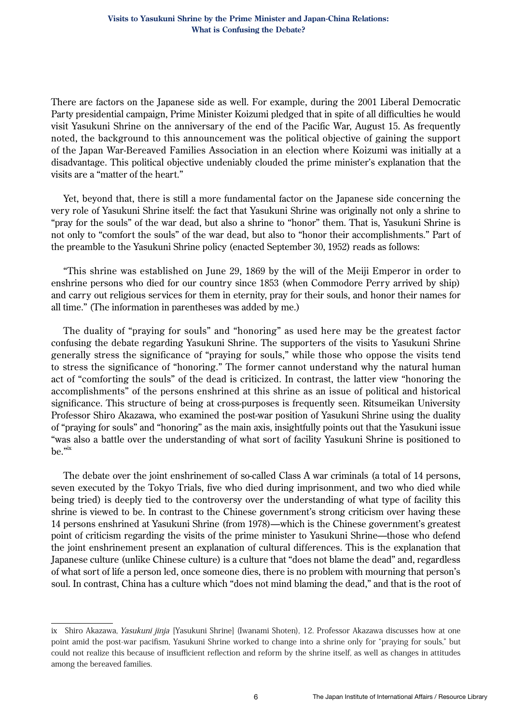There are factors on the Japanese side as well. For example, during the 2001 Liberal Democratic Party presidential campaign, Prime Minister Koizumi pledged that in spite of all difficulties he would visit Yasukuni Shrine on the anniversary of the end of the Pacific War, August 15. As frequently noted, the background to this announcement was the political objective of gaining the support of the Japan War-Bereaved Families Association in an election where Koizumi was initially at a disadvantage. This political objective undeniably clouded the prime minister's explanation that the visits are a "matter of the heart."

Yet, beyond that, there is still a more fundamental factor on the Japanese side concerning the very role of Yasukuni Shrine itself: the fact that Yasukuni Shrine was originally not only a shrine to "pray for the souls" of the war dead, but also a shrine to "honor" them. That is, Yasukuni Shrine is not only to "comfort the souls" of the war dead, but also to "honor their accomplishments." Part of the preamble to the Yasukuni Shrine policy (enacted September 30, 1952) reads as follows:

"This shrine was established on June 29, 1869 by the will of the Meiji Emperor in order to enshrine persons who died for our country since 1853 (when Commodore Perry arrived by ship) and carry out religious services for them in eternity, pray for their souls, and honor their names for all time." (The information in parentheses was added by me.)

The duality of "praying for souls" and "honoring" as used here may be the greatest factor confusing the debate regarding Yasukuni Shrine. The supporters of the visits to Yasukuni Shrine generally stress the significance of "praying for souls," while those who oppose the visits tend to stress the significance of "honoring." The former cannot understand why the natural human act of "comforting the souls" of the dead is criticized. In contrast, the latter view "honoring the accomplishments" of the persons enshrined at this shrine as an issue of political and historical significance. This structure of being at cross-purposes is frequently seen. Ritsumeikan University Professor Shiro Akazawa, who examined the post-war position of Yasukuni Shrine using the duality of "praying for souls" and "honoring" as the main axis, insightfully points out that the Yasukuni issue "was also a battle over the understanding of what sort of facility Yasukuni Shrine is positioned to be."ix

The debate over the joint enshrinement of so-called Class A war criminals (a total of 14 persons, seven executed by the Tokyo Trials, five who died during imprisonment, and two who died while being tried) is deeply tied to the controversy over the understanding of what type of facility this shrine is viewed to be. In contrast to the Chinese government's strong criticism over having these 14 persons enshrined at Yasukuni Shrine (from 1978)—which is the Chinese government's greatest point of criticism regarding the visits of the prime minister to Yasukuni Shrine—those who defend the joint enshrinement present an explanation of cultural differences. This is the explanation that Japanese culture (unlike Chinese culture) is a culture that "does not blame the dead" and, regardless of what sort of life a person led, once someone dies, there is no problem with mourning that person's soul. In contrast, China has a culture which "does not mind blaming the dead," and that is the root of

ix Shiro Akazawa, Yasukuni jinja [Yasukuni Shrine] (Iwanami Shoten), 12. Professor Akazawa discusses how at one point amid the post-war pacifism, Yasukuni Shrine worked to change into a shrine only for "praying for souls," but could not realize this because of insufficient reflection and reform by the shrine itself, as well as changes in attitudes among the bereaved families.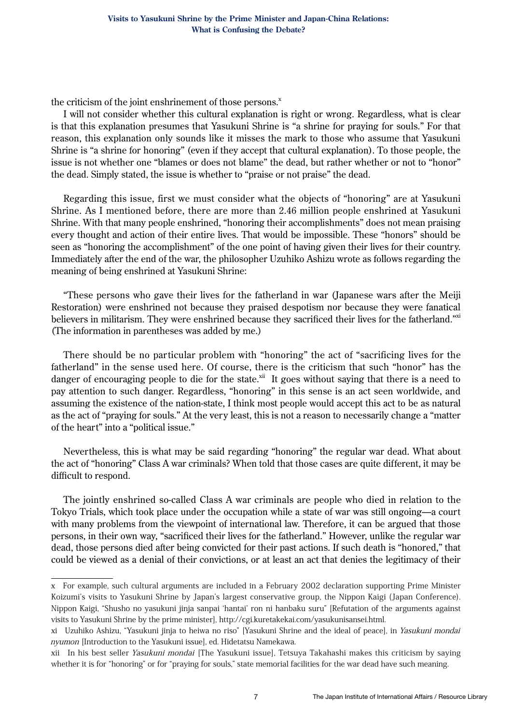the criticism of the joint enshrinement of those persons. $^x$ 

I will not consider whether this cultural explanation is right or wrong. Regardless, what is clear is that this explanation presumes that Yasukuni Shrine is "a shrine for praying for souls." For that reason, this explanation only sounds like it misses the mark to those who assume that Yasukuni Shrine is "a shrine for honoring" (even if they accept that cultural explanation). To those people, the issue is not whether one "blames or does not blame" the dead, but rather whether or not to "honor" the dead. Simply stated, the issue is whether to "praise or not praise" the dead.

Regarding this issue, first we must consider what the objects of "honoring" are at Yasukuni Shrine. As I mentioned before, there are more than 2.46 million people enshrined at Yasukuni Shrine. With that many people enshrined, "honoring their accomplishments" does not mean praising every thought and action of their entire lives. That would be impossible. These "honors" should be seen as "honoring the accomplishment" of the one point of having given their lives for their country. Immediately after the end of the war, the philosopher Uzuhiko Ashizu wrote as follows regarding the meaning of being enshrined at Yasukuni Shrine:

"These persons who gave their lives for the fatherland in war (Japanese wars after the Meiji Restoration) were enshrined not because they praised despotism nor because they were fanatical believers in militarism. They were enshrined because they sacrificed their lives for the fatherland."xi (The information in parentheses was added by me.)

There should be no particular problem with "honoring" the act of "sacrificing lives for the fatherland" in the sense used here. Of course, there is the criticism that such "honor" has the danger of encouraging people to die for the state. $x^{ii}$  It goes without saying that there is a need to pay attention to such danger. Regardless, "honoring" in this sense is an act seen worldwide, and assuming the existence of the nation-state, I think most people would accept this act to be as natural as the act of "praying for souls." At the very least, this is not a reason to necessarily change a "matter of the heart" into a "political issue."

Nevertheless, this is what may be said regarding "honoring" the regular war dead. What about the act of "honoring" Class A war criminals? When told that those cases are quite different, it may be difficult to respond.

The jointly enshrined so-called Class A war criminals are people who died in relation to the Tokyo Trials, which took place under the occupation while a state of war was still ongoing—a court with many problems from the viewpoint of international law. Therefore, it can be argued that those persons, in their own way, "sacrificed their lives for the fatherland." However, unlike the regular war dead, those persons died after being convicted for their past actions. If such death is "honored," that could be viewed as a denial of their convictions, or at least an act that denies the legitimacy of their

x For example, such cultural arguments are included in a February 2002 declaration supporting Prime Minister Koizumi's visits to Yasukuni Shrine by Japan's largest conservative group, the Nippon Kaigi (Japan Conference). Nippon Kaigi, "Shusho no yasukuni jinja sanpai 'hantai' ron ni hanbaku suru" [Refutation of the arguments against visits to Yasukuni Shrine by the prime minister], http://cgi.kuretakekai.com/yasukunisansei.html.

xi Uzuhiko Ashizu, "Yasukuni jinja to heiwa no riso" [Yasukuni Shrine and the ideal of peace], in Yasukuni mondai nyumon [Introduction to the Yasukuni issue], ed. Hidetatsu Namekawa.

xii In his best seller Yasukuni mondai [The Yasukuni issue], Tetsuya Takahashi makes this criticism by saying whether it is for "honoring" or for "praying for souls," state memorial facilities for the war dead have such meaning.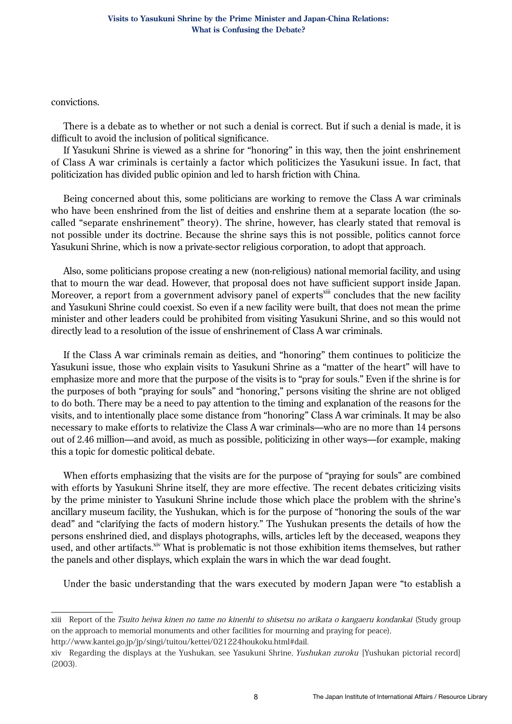convictions.

There is a debate as to whether or not such a denial is correct. But if such a denial is made, it is difficult to avoid the inclusion of political significance.

If Yasukuni Shrine is viewed as a shrine for "honoring" in this way, then the joint enshrinement of Class A war criminals is certainly a factor which politicizes the Yasukuni issue. In fact, that politicization has divided public opinion and led to harsh friction with China.

Being concerned about this, some politicians are working to remove the Class A war criminals who have been enshrined from the list of deities and enshrine them at a separate location (the socalled "separate enshrinement" theory). The shrine, however, has clearly stated that removal is not possible under its doctrine. Because the shrine says this is not possible, politics cannot force Yasukuni Shrine, which is now a private-sector religious corporation, to adopt that approach.

Also, some politicians propose creating a new (non-religious) national memorial facility, and using that to mourn the war dead. However, that proposal does not have sufficient support inside Japan. Moreover, a report from a government advisory panel of experts<sup>xiii</sup> concludes that the new facility and Yasukuni Shrine could coexist. So even if a new facility were built, that does not mean the prime minister and other leaders could be prohibited from visiting Yasukuni Shrine, and so this would not directly lead to a resolution of the issue of enshrinement of Class A war criminals.

If the Class A war criminals remain as deities, and "honoring" them continues to politicize the Yasukuni issue, those who explain visits to Yasukuni Shrine as a "matter of the heart" will have to emphasize more and more that the purpose of the visits is to "pray for souls." Even if the shrine is for the purposes of both "praying for souls" and "honoring," persons visiting the shrine are not obliged to do both. There may be a need to pay attention to the timing and explanation of the reasons for the visits, and to intentionally place some distance from "honoring" Class A war criminals. It may be also necessary to make efforts to relativize the Class A war criminals—who are no more than 14 persons out of 2.46 million—and avoid, as much as possible, politicizing in other ways—for example, making this a topic for domestic political debate.

When efforts emphasizing that the visits are for the purpose of "praying for souls" are combined with efforts by Yasukuni Shrine itself, they are more effective. The recent debates criticizing visits by the prime minister to Yasukuni Shrine include those which place the problem with the shrine's ancillary museum facility, the Yushukan, which is for the purpose of "honoring the souls of the war dead" and "clarifying the facts of modern history." The Yushukan presents the details of how the persons enshrined died, and displays photographs, wills, articles left by the deceased, weapons they used, and other artifacts.<sup>xiv</sup> What is problematic is not those exhibition items themselves, but rather the panels and other displays, which explain the wars in which the war dead fought.

Under the basic understanding that the wars executed by modern Japan were "to establish a

http://www.kantei.go.jp/jp/singi/tuitou/kettei/021224houkoku.html#dail.

xiii Report of the Tsuito heiwa kinen no tame no kinenhi to shisetsu no arikata o kangaeru kondankai (Study group on the approach to memorial monuments and other facilities for mourning and praying for peace),

xiv Regarding the displays at the Yushukan, see Yasukuni Shrine, Yushukan zuroku [Yushukan pictorial record] (2003).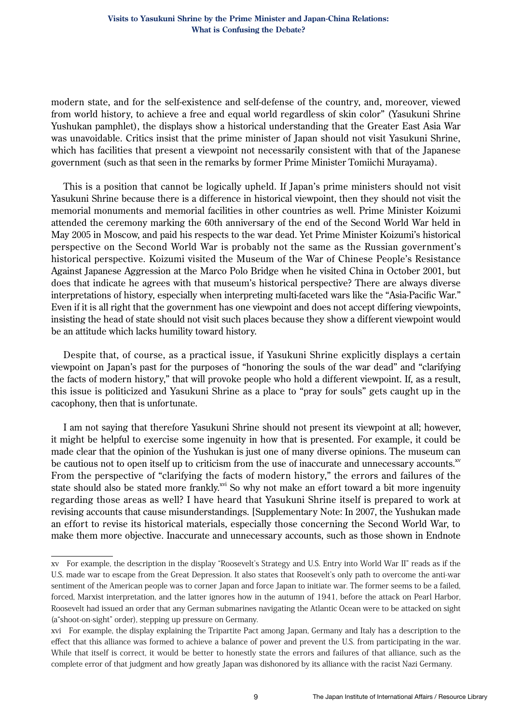#### **Visits to Yasukuni Shrine by the Prime Minister and Japan-China Relations: What is Confusing the Debate?**

modern state, and for the self-existence and self-defense of the country, and, moreover, viewed from world history, to achieve a free and equal world regardless of skin color" (Yasukuni Shrine Yushukan pamphlet), the displays show a historical understanding that the Greater East Asia War was unavoidable. Critics insist that the prime minister of Japan should not visit Yasukuni Shrine, which has facilities that present a viewpoint not necessarily consistent with that of the Japanese government (such as that seen in the remarks by former Prime Minister Tomiichi Murayama).

This is a position that cannot be logically upheld. If Japan's prime ministers should not visit Yasukuni Shrine because there is a difference in historical viewpoint, then they should not visit the memorial monuments and memorial facilities in other countries as well. Prime Minister Koizumi attended the ceremony marking the 60th anniversary of the end of the Second World War held in May 2005 in Moscow, and paid his respects to the war dead. Yet Prime Minister Koizumi's historical perspective on the Second World War is probably not the same as the Russian government's historical perspective. Koizumi visited the Museum of the War of Chinese People's Resistance Against Japanese Aggression at the Marco Polo Bridge when he visited China in October 2001, but does that indicate he agrees with that museum's historical perspective? There are always diverse interpretations of history, especially when interpreting multi-faceted wars like the "Asia-Pacific War." Even if it is all right that the government has one viewpoint and does not accept differing viewpoints, insisting the head of state should not visit such places because they show a different viewpoint would be an attitude which lacks humility toward history.

Despite that, of course, as a practical issue, if Yasukuni Shrine explicitly displays a certain viewpoint on Japan's past for the purposes of "honoring the souls of the war dead" and "clarifying the facts of modern history," that will provoke people who hold a different viewpoint. If, as a result, this issue is politicized and Yasukuni Shrine as a place to "pray for souls" gets caught up in the cacophony, then that is unfortunate.

I am not saying that therefore Yasukuni Shrine should not present its viewpoint at all; however, it might be helpful to exercise some ingenuity in how that is presented. For example, it could be made clear that the opinion of the Yushukan is just one of many diverse opinions. The museum can be cautious not to open itself up to criticism from the use of inaccurate and unnecessary accounts. $\frac{x}{x}$ From the perspective of "clarifying the facts of modern history," the errors and failures of the state should also be stated more frankly.<sup>xvi</sup> So why not make an effort toward a bit more ingenuity regarding those areas as well? I have heard that Yasukuni Shrine itself is prepared to work at revising accounts that cause misunderstandings. [Supplementary Note: In 2007, the Yushukan made an effort to revise its historical materials, especially those concerning the Second World War, to make them more objective. Inaccurate and unnecessary accounts, such as those shown in Endnote

xv For example, the description in the display "Roosevelt's Strategy and U.S. Entry into World War II" reads as if the U.S. made war to escape from the Great Depression. It also states that Roosevelt's only path to overcome the anti-war sentiment of the American people was to corner Japan and force Japan to initiate war. The former seems to be a failed, forced, Marxist interpretation, and the latter ignores how in the autumn of 1941, before the attack on Pearl Harbor, Roosevelt had issued an order that any German submarines navigating the Atlantic Ocean were to be attacked on sight (a"shoot-on-sight" order), stepping up pressure on Germany.

xvi For example, the display explaining the Tripartite Pact among Japan, Germany and Italy has a description to the effect that this alliance was formed to achieve a balance of power and prevent the U.S. from participating in the war. While that itself is correct, it would be better to honestly state the errors and failures of that alliance, such as the complete error of that judgment and how greatly Japan was dishonored by its alliance with the racist Nazi Germany.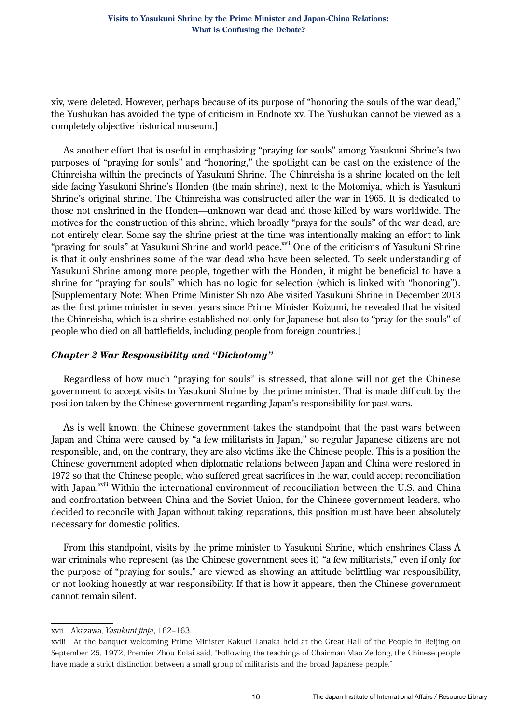xiv, were deleted. However, perhaps because of its purpose of "honoring the souls of the war dead," the Yushukan has avoided the type of criticism in Endnote xv. The Yushukan cannot be viewed as a completely objective historical museum.]

As another effort that is useful in emphasizing "praying for souls" among Yasukuni Shrine's two purposes of "praying for souls" and "honoring," the spotlight can be cast on the existence of the Chinreisha within the precincts of Yasukuni Shrine. The Chinreisha is a shrine located on the left side facing Yasukuni Shrine's Honden (the main shrine), next to the Motomiya, which is Yasukuni Shrine's original shrine. The Chinreisha was constructed after the war in 1965. It is dedicated to those not enshrined in the Honden—unknown war dead and those killed by wars worldwide. The motives for the construction of this shrine, which broadly "prays for the souls" of the war dead, are not entirely clear. Some say the shrine priest at the time was intentionally making an effort to link "praying for souls" at Yasukuni Shrine and world peace.<sup>xvii</sup> One of the criticisms of Yasukuni Shrine is that it only enshrines some of the war dead who have been selected. To seek understanding of Yasukuni Shrine among more people, together with the Honden, it might be beneficial to have a shrine for "praying for souls" which has no logic for selection (which is linked with "honoring"). [Supplementary Note: When Prime Minister Shinzo Abe visited Yasukuni Shrine in December 2013 as the first prime minister in seven years since Prime Minister Koizumi, he revealed that he visited the Chinreisha, which is a shrine established not only for Japanese but also to "pray for the souls" of people who died on all battlefields, including people from foreign countries.]

## *Chapter 2 War Responsibility and "Dichotomy"*

Regardless of how much "praying for souls" is stressed, that alone will not get the Chinese government to accept visits to Yasukuni Shrine by the prime minister. That is made difficult by the position taken by the Chinese government regarding Japan's responsibility for past wars.

As is well known, the Chinese government takes the standpoint that the past wars between Japan and China were caused by "a few militarists in Japan," so regular Japanese citizens are not responsible, and, on the contrary, they are also victims like the Chinese people. This is a position the Chinese government adopted when diplomatic relations between Japan and China were restored in 1972 so that the Chinese people, who suffered great sacrifices in the war, could accept reconciliation with Japan.<sup>xviii</sup> Within the international environment of reconciliation between the U.S. and China and confrontation between China and the Soviet Union, for the Chinese government leaders, who decided to reconcile with Japan without taking reparations, this position must have been absolutely necessary for domestic politics.

From this standpoint, visits by the prime minister to Yasukuni Shrine, which enshrines Class A war criminals who represent (as the Chinese government sees it) "a few militarists," even if only for the purpose of "praying for souls," are viewed as showing an attitude belittling war responsibility, or not looking honestly at war responsibility. If that is how it appears, then the Chinese government cannot remain silent.

xvii Akazawa, Yasukuni jinja, 162–163.

xviii At the banquet welcoming Prime Minister Kakuei Tanaka held at the Great Hall of the People in Beijing on September 25, 1972, Premier Zhou Enlai said, "Following the teachings of Chairman Mao Zedong, the Chinese people have made a strict distinction between a small group of militarists and the broad Japanese people."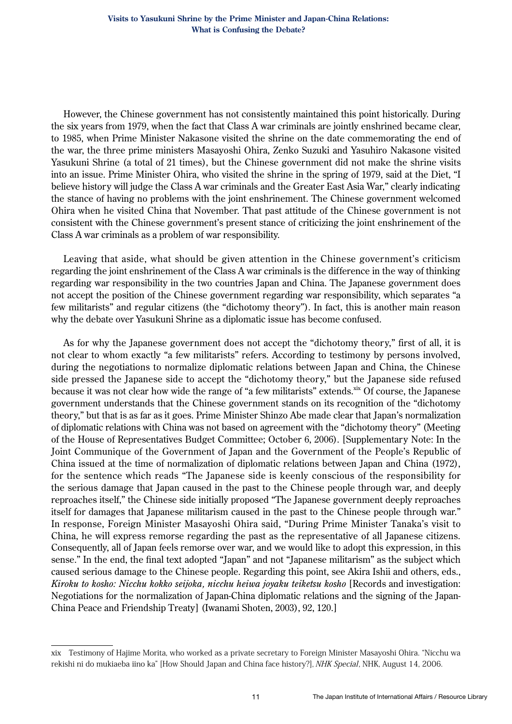However, the Chinese government has not consistently maintained this point historically. During the six years from 1979, when the fact that Class A war criminals are jointly enshrined became clear, to 1985, when Prime Minister Nakasone visited the shrine on the date commemorating the end of the war, the three prime ministers Masayoshi Ohira, Zenko Suzuki and Yasuhiro Nakasone visited Yasukuni Shrine (a total of 21 times), but the Chinese government did not make the shrine visits into an issue. Prime Minister Ohira, who visited the shrine in the spring of 1979, said at the Diet, "I believe history will judge the Class A war criminals and the Greater East Asia War," clearly indicating the stance of having no problems with the joint enshrinement. The Chinese government welcomed Ohira when he visited China that November. That past attitude of the Chinese government is not consistent with the Chinese government's present stance of criticizing the joint enshrinement of the Class A war criminals as a problem of war responsibility.

Leaving that aside, what should be given attention in the Chinese government's criticism regarding the joint enshrinement of the Class A war criminals is the difference in the way of thinking regarding war responsibility in the two countries Japan and China. The Japanese government does not accept the position of the Chinese government regarding war responsibility, which separates "a few militarists" and regular citizens (the "dichotomy theory"). In fact, this is another main reason why the debate over Yasukuni Shrine as a diplomatic issue has become confused.

As for why the Japanese government does not accept the "dichotomy theory," first of all, it is not clear to whom exactly "a few militarists" refers. According to testimony by persons involved, during the negotiations to normalize diplomatic relations between Japan and China, the Chinese side pressed the Japanese side to accept the "dichotomy theory," but the Japanese side refused because it was not clear how wide the range of "a few militarists" extends.<sup>xix</sup> Of course, the Japanese government understands that the Chinese government stands on its recognition of the "dichotomy theory," but that is as far as it goes. Prime Minister Shinzo Abe made clear that Japan's normalization of diplomatic relations with China was not based on agreement with the "dichotomy theory" (Meeting of the House of Representatives Budget Committee; October 6, 2006). [Supplementary Note: In the Joint Communique of the Government of Japan and the Government of the People's Republic of China issued at the time of normalization of diplomatic relations between Japan and China (1972), for the sentence which reads "The Japanese side is keenly conscious of the responsibility for the serious damage that Japan caused in the past to the Chinese people through war, and deeply reproaches itself," the Chinese side initially proposed "The Japanese government deeply reproaches itself for damages that Japanese militarism caused in the past to the Chinese people through war." In response, Foreign Minister Masayoshi Ohira said, "During Prime Minister Tanaka's visit to China, he will express remorse regarding the past as the representative of all Japanese citizens. Consequently, all of Japan feels remorse over war, and we would like to adopt this expression, in this sense." In the end, the final text adopted "Japan" and not "Japanese militarism" as the subject which caused serious damage to the Chinese people. Regarding this point, see Akira Ishii and others, eds., *Kiroku to kosho: Nicchu kokko seijoka, nicchu heiwa joyaku teiketsu kosho* [Records and investigation: Negotiations for the normalization of Japan-China diplomatic relations and the signing of the Japan-China Peace and Friendship Treaty] (Iwanami Shoten, 2003), 92, 120.]

xix Testimony of Hajime Morita, who worked as a private secretary to Foreign Minister Masayoshi Ohira. "Nicchu wa rekishi ni do mukiaeba iino ka" [How Should Japan and China face history?], NHK Special, NHK, August 14, 2006.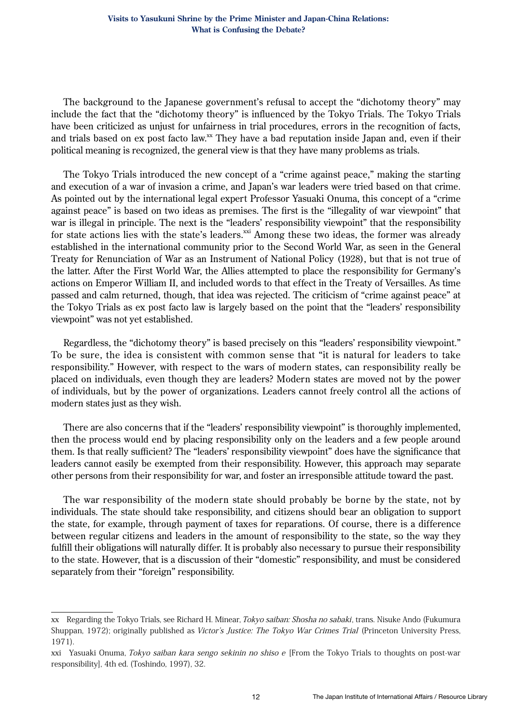The background to the Japanese government's refusal to accept the "dichotomy theory" may include the fact that the "dichotomy theory" is influenced by the Tokyo Trials. The Tokyo Trials have been criticized as unjust for unfairness in trial procedures, errors in the recognition of facts, and trials based on ex post facto law.xx They have a bad reputation inside Japan and, even if their political meaning is recognized, the general view is that they have many problems as trials.

The Tokyo Trials introduced the new concept of a "crime against peace," making the starting and execution of a war of invasion a crime, and Japan's war leaders were tried based on that crime. As pointed out by the international legal expert Professor Yasuaki Onuma, this concept of a "crime against peace" is based on two ideas as premises. The first is the "illegality of war viewpoint" that war is illegal in principle. The next is the "leaders' responsibility viewpoint" that the responsibility for state actions lies with the state's leaders.<sup>xxi</sup> Among these two ideas, the former was already established in the international community prior to the Second World War, as seen in the General Treaty for Renunciation of War as an Instrument of National Policy (1928), but that is not true of the latter. After the First World War, the Allies attempted to place the responsibility for Germany's actions on Emperor William II, and included words to that effect in the Treaty of Versailles. As time passed and calm returned, though, that idea was rejected. The criticism of "crime against peace" at the Tokyo Trials as ex post facto law is largely based on the point that the "leaders' responsibility viewpoint" was not yet established.

Regardless, the "dichotomy theory" is based precisely on this "leaders' responsibility viewpoint." To be sure, the idea is consistent with common sense that "it is natural for leaders to take responsibility." However, with respect to the wars of modern states, can responsibility really be placed on individuals, even though they are leaders? Modern states are moved not by the power of individuals, but by the power of organizations. Leaders cannot freely control all the actions of modern states just as they wish.

There are also concerns that if the "leaders' responsibility viewpoint" is thoroughly implemented, then the process would end by placing responsibility only on the leaders and a few people around them. Is that really sufficient? The "leaders' responsibility viewpoint" does have the significance that leaders cannot easily be exempted from their responsibility. However, this approach may separate other persons from their responsibility for war, and foster an irresponsible attitude toward the past.

The war responsibility of the modern state should probably be borne by the state, not by individuals. The state should take responsibility, and citizens should bear an obligation to support the state, for example, through payment of taxes for reparations. Of course, there is a difference between regular citizens and leaders in the amount of responsibility to the state, so the way they fulfill their obligations will naturally differ. It is probably also necessary to pursue their responsibility to the state. However, that is a discussion of their "domestic" responsibility, and must be considered separately from their "foreign" responsibility.

xx Regarding the Tokyo Trials, see Richard H. Minear, *Tokyo saiban: Shosha no sabaki*, trans. Nisuke Ando (Fukumura Shuppan, 1972); originally published as Victor's Justice: The Tokyo War Crimes Trial (Princeton University Press, 1971).

xxi Yasuaki Onuma, Tokyo saiban kara sengo sekinin no shiso e [From the Tokyo Trials to thoughts on post-war responsibility], 4th ed. (Toshindo, 1997), 32.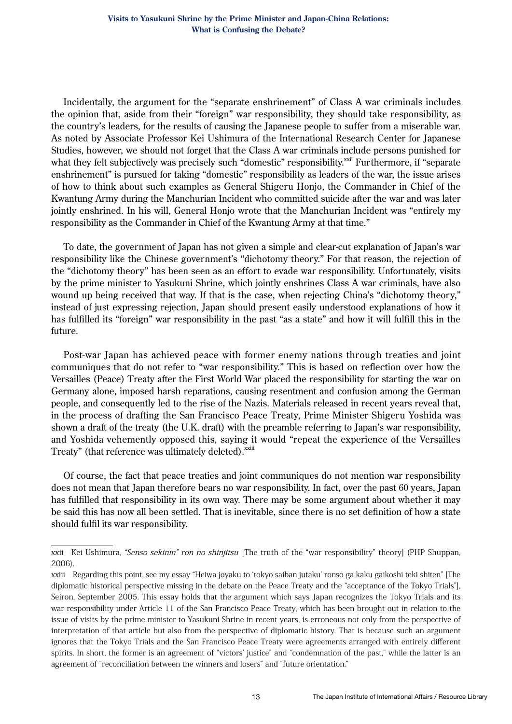Incidentally, the argument for the "separate enshrinement" of Class A war criminals includes the opinion that, aside from their "foreign" war responsibility, they should take responsibility, as the country's leaders, for the results of causing the Japanese people to suffer from a miserable war. As noted by Associate Professor Kei Ushimura of the International Research Center for Japanese Studies, however, we should not forget that the Class A war criminals include persons punished for what they felt subjectively was precisely such "domestic" responsibility.<sup>xxii</sup> Furthermore, if "separate enshrinement" is pursued for taking "domestic" responsibility as leaders of the war, the issue arises of how to think about such examples as General Shigeru Honjo, the Commander in Chief of the Kwantung Army during the Manchurian Incident who committed suicide after the war and was later jointly enshrined. In his will, General Honjo wrote that the Manchurian Incident was "entirely my responsibility as the Commander in Chief of the Kwantung Army at that time."

To date, the government of Japan has not given a simple and clear-cut explanation of Japan's war responsibility like the Chinese government's "dichotomy theory." For that reason, the rejection of the "dichotomy theory" has been seen as an effort to evade war responsibility. Unfortunately, visits by the prime minister to Yasukuni Shrine, which jointly enshrines Class A war criminals, have also wound up being received that way. If that is the case, when rejecting China's "dichotomy theory," instead of just expressing rejection, Japan should present easily understood explanations of how it has fulfilled its "foreign" war responsibility in the past "as a state" and how it will fulfill this in the future.

Post-war Japan has achieved peace with former enemy nations through treaties and joint communiques that do not refer to "war responsibility." This is based on reflection over how the Versailles (Peace) Treaty after the First World War placed the responsibility for starting the war on Germany alone, imposed harsh reparations, causing resentment and confusion among the German people, and consequently led to the rise of the Nazis. Materials released in recent years reveal that, in the process of drafting the San Francisco Peace Treaty, Prime Minister Shigeru Yoshida was shown a draft of the treaty (the U.K. draft) with the preamble referring to Japan's war responsibility, and Yoshida vehemently opposed this, saying it would "repeat the experience of the Versailles Treaty" (that reference was ultimately deleted).<sup>xxiii</sup>

Of course, the fact that peace treaties and joint communiques do not mention war responsibility does not mean that Japan therefore bears no war responsibility. In fact, over the past 60 years, Japan has fulfilled that responsibility in its own way. There may be some argument about whether it may be said this has now all been settled. That is inevitable, since there is no set definition of how a state should fulfil its war responsibility.

xxii Kei Ushimura, "Senso sekinin" ron no shinjitsu [The truth of the "war responsibility" theory] (PHP Shuppan, 2006).

xxiii Regarding this point, see my essay "Heiwa joyaku to 'tokyo saiban jutaku' ronso ga kaku gaikoshi teki shiten" [The diplomatic historical perspective missing in the debate on the Peace Treaty and the "acceptance of the Tokyo Trials"], Seiron, September 2005. This essay holds that the argument which says Japan recognizes the Tokyo Trials and its war responsibility under Article 11 of the San Francisco Peace Treaty, which has been brought out in relation to the issue of visits by the prime minister to Yasukuni Shrine in recent years, is erroneous not only from the perspective of interpretation of that article but also from the perspective of diplomatic history. That is because such an argument ignores that the Tokyo Trials and the San Francisco Peace Treaty were agreements arranged with entirely different spirits. In short, the former is an agreement of "victors' justice" and "condemnation of the past," while the latter is an agreement of "reconciliation between the winners and losers" and "future orientation."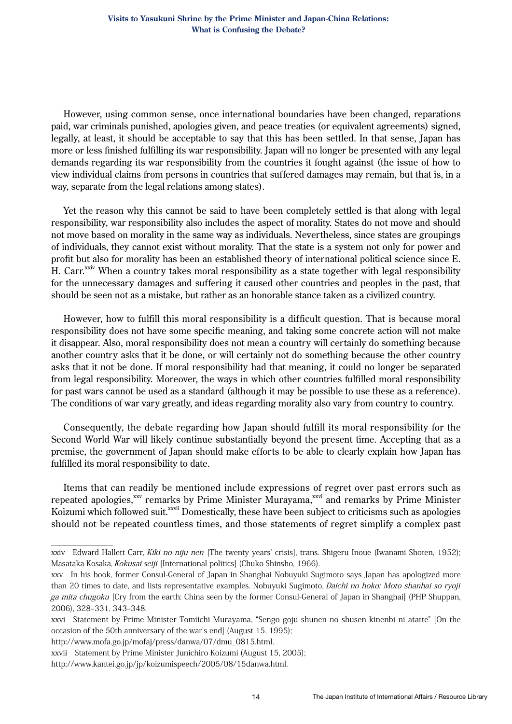However, using common sense, once international boundaries have been changed, reparations paid, war criminals punished, apologies given, and peace treaties (or equivalent agreements) signed, legally, at least, it should be acceptable to say that this has been settled. In that sense, Japan has more or less finished fulfilling its war responsibility. Japan will no longer be presented with any legal demands regarding its war responsibility from the countries it fought against (the issue of how to view individual claims from persons in countries that suffered damages may remain, but that is, in a way, separate from the legal relations among states).

Yet the reason why this cannot be said to have been completely settled is that along with legal responsibility, war responsibility also includes the aspect of morality. States do not move and should not move based on morality in the same way as individuals. Nevertheless, since states are groupings of individuals, they cannot exist without morality. That the state is a system not only for power and profit but also for morality has been an established theory of international political science since E. H. Carr.<sup>xxiv</sup> When a country takes moral responsibility as a state together with legal responsibility for the unnecessary damages and suffering it caused other countries and peoples in the past, that should be seen not as a mistake, but rather as an honorable stance taken as a civilized country.

However, how to fulfill this moral responsibility is a difficult question. That is because moral responsibility does not have some specific meaning, and taking some concrete action will not make it disappear. Also, moral responsibility does not mean a country will certainly do something because another country asks that it be done, or will certainly not do something because the other country asks that it not be done. If moral responsibility had that meaning, it could no longer be separated from legal responsibility. Moreover, the ways in which other countries fulfilled moral responsibility for past wars cannot be used as a standard (although it may be possible to use these as a reference). The conditions of war vary greatly, and ideas regarding morality also vary from country to country.

Consequently, the debate regarding how Japan should fulfill its moral responsibility for the Second World War will likely continue substantially beyond the present time. Accepting that as a premise, the government of Japan should make efforts to be able to clearly explain how Japan has fulfilled its moral responsibility to date.

Items that can readily be mentioned include expressions of regret over past errors such as repeated apologies,<sup>xxv</sup> remarks by Prime Minister Murayama,<sup>xxvi</sup> and remarks by Prime Minister Koizumi which followed suit.<sup>xxvii</sup> Domestically, these have been subject to criticisms such as apologies should not be repeated countless times, and those statements of regret simplify a complex past

http://www.mofa.go.jp/mofaj/press/danwa/07/dmu\_0815.html.

xxiv Edward Hallett Carr, Kiki no niju nen [The twenty years' crisis], trans. Shigeru Inoue (Iwanami Shoten, 1952); Masataka Kosaka, Kokusai seiji [International politics] (Chuko Shinsho, 1966).

xxv In his book, former Consul-General of Japan in Shanghai Nobuyuki Sugimoto says Japan has apologized more than 20 times to date, and lists representative examples. Nobuyuki Sugimoto, Daichi no hoko: Moto shanhai so ryoji ga mita chugoku [Cry from the earth: China seen by the former Consul-General of Japan in Shanghai] (PHP Shuppan, 2006), 328–331, 343–348.

xxvi Statement by Prime Minister Tomiichi Murayama, "Sengo goju shunen no shusen kinenbi ni atatte" [On the occasion of the 50th anniversary of the war's end] (August 15, 1995);

xxvii Statement by Prime Minister Junichiro Koizumi (August 15, 2005);

http://www.kantei.go.jp/jp/koizumispeech/2005/08/15danwa.html.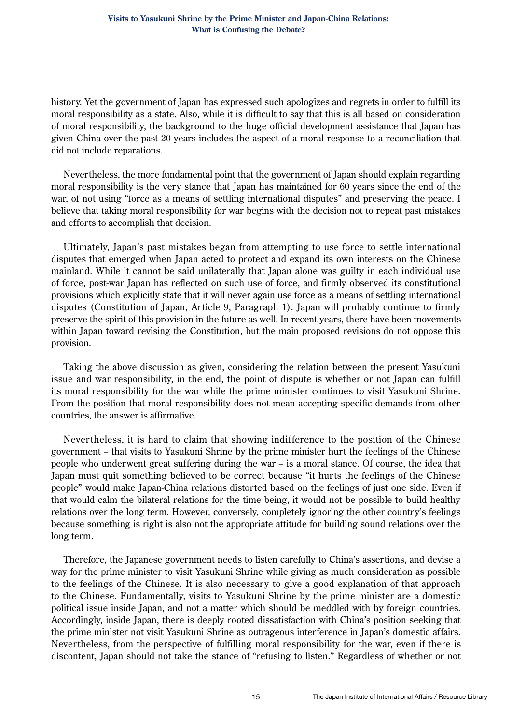history. Yet the government of Japan has expressed such apologizes and regrets in order to fulfill its moral responsibility as a state. Also, while it is difficult to say that this is all based on consideration of moral responsibility, the background to the huge official development assistance that Japan has given China over the past 20 years includes the aspect of a moral response to a reconciliation that did not include reparations.

Nevertheless, the more fundamental point that the government of Japan should explain regarding moral responsibility is the very stance that Japan has maintained for 60 years since the end of the war, of not using "force as a means of settling international disputes" and preserving the peace. I believe that taking moral responsibility for war begins with the decision not to repeat past mistakes and efforts to accomplish that decision.

Ultimately, Japan's past mistakes began from attempting to use force to settle international disputes that emerged when Japan acted to protect and expand its own interests on the Chinese mainland. While it cannot be said unilaterally that Japan alone was guilty in each individual use of force, post-war Japan has reflected on such use of force, and firmly observed its constitutional provisions which explicitly state that it will never again use force as a means of settling international disputes (Constitution of Japan, Article 9, Paragraph 1). Japan will probably continue to firmly preserve the spirit of this provision in the future as well. In recent years, there have been movements within Japan toward revising the Constitution, but the main proposed revisions do not oppose this provision.

Taking the above discussion as given, considering the relation between the present Yasukuni issue and war responsibility, in the end, the point of dispute is whether or not Japan can fulfill its moral responsibility for the war while the prime minister continues to visit Yasukuni Shrine. From the position that moral responsibility does not mean accepting specific demands from other countries, the answer is affirmative.

Nevertheless, it is hard to claim that showing indifference to the position of the Chinese government – that visits to Yasukuni Shrine by the prime minister hurt the feelings of the Chinese people who underwent great suffering during the war -- is a moral stance. Of course, the idea that Japan must quit something believed to be correct because "it hurts the feelings of the Chinese people" would make Japan-China relations distorted based on the feelings of just one side. Even if that would calm the bilateral relations for the time being, it would not be possible to build healthy relations over the long term. However, conversely, completely ignoring the other country's feelings because something is right is also not the appropriate attitude for building sound relations over the long term.

Therefore, the Japanese government needs to listen carefully to China's assertions, and devise a way for the prime minister to visit Yasukuni Shrine while giving as much consideration as possible to the feelings of the Chinese. It is also necessary to give a good explanation of that approach to the Chinese. Fundamentally, visits to Yasukuni Shrine by the prime minister are a domestic political issue inside Japan, and not a matter which should be meddled with by foreign countries. Accordingly, inside Japan, there is deeply rooted dissatisfaction with China's position seeking that the prime minister not visit Yasukuni Shrine as outrageous interference in Japan's domestic affairs. Nevertheless, from the perspective of fulfilling moral responsibility for the war, even if there is discontent, Japan should not take the stance of "refusing to listen." Regardless of whether or not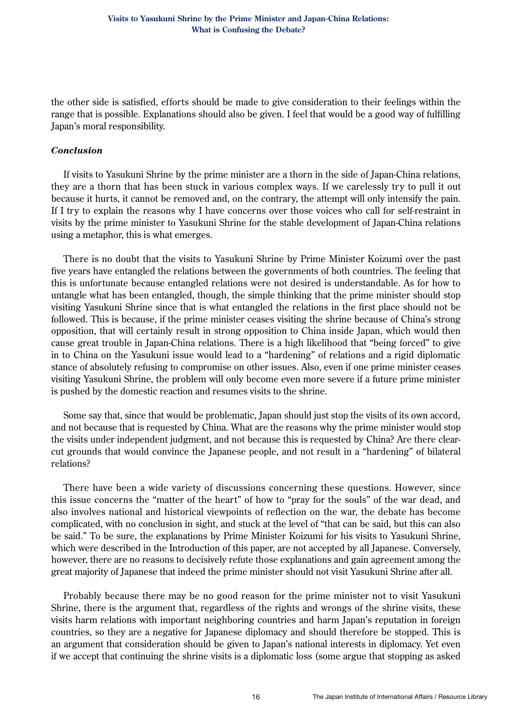the other side is satisfied, efforts should be made to give consideration to their feelings within the range that is possible. Explanations should also be given. I feel that would be a good way of fulfilling Japan's moral responsibility.

#### *Conclusion*

If visits to Yasukuni Shrine by the prime minister are a thorn in the side of Japan-China relations, they are a thorn that has been stuck in various complex ways. If we carelessly try to pull it out because it hurts, it cannot be removed and, on the contrary, the attempt will only intensify the pain. If I try to explain the reasons why I have concerns over those voices who call for self-restraint in visits by the prime minister to Yasukuni Shrine for the stable development of Japan-China relations using a metaphor, this is what emerges.

There is no doubt that the visits to Yasukuni Shrine by Prime Minister Koizumi over the past five years have entangled the relations between the governments of both countries. The feeling that this is unfortunate because entangled relations were not desired is understandable. As for how to untangle what has been entangled, though, the simple thinking that the prime minister should stop visiting Yasukuni Shrine since that is what entangled the relations in the first place should not be followed. This is because, if the prime minister ceases visiting the shrine because of China's strong opposition, that will certainly result in strong opposition to China inside Japan, which would then cause great trouble in Japan-China relations. There is a high likelihood that "being forced" to give in to China on the Yasukuni issue would lead to a "hardening" of relations and a rigid diplomatic stance of absolutely refusing to compromise on other issues. Also, even if one prime minister ceases visiting Yasukuni Shrine, the problem will only become even more severe if a future prime minister is pushed by the domestic reaction and resumes visits to the shrine.

Some say that, since that would be problematic, Japan should just stop the visits of its own accord, and not because that is requested by China. What are the reasons why the prime minister would stop the visits under independent judgment, and not because this is requested by China? Are there clearcut grounds that would convince the Japanese people, and not result in a "hardening" of bilateral relations?

There have been a wide variety of discussions concerning these questions. However, since this issue concerns the "matter of the heart" of how to "pray for the souls" of the war dead, and also involves national and historical viewpoints of reflection on the war, the debate has become complicated, with no conclusion in sight, and stuck at the level of "that can be said, but this can also be said." To be sure, the explanations by Prime Minister Koizumi for his visits to Yasukuni Shrine, which were described in the Introduction of this paper, are not accepted by all Japanese. Conversely, however, there are no reasons to decisively refute those explanations and gain agreement among the great majority of Japanese that indeed the prime minister should not visit Yasukuni Shrine after all.

Probably because there may be no good reason for the prime minister not to visit Yasukuni Shrine, there is the argument that, regardless of the rights and wrongs of the shrine visits, these visits harm relations with important neighboring countries and harm Japan's reputation in foreign countries, so they are a negative for Japanese diplomacy and should therefore be stopped. This is an argument that consideration should be given to Japan's national interests in diplomacy. Yet even if we accept that continuing the shrine visits is a diplomatic loss (some argue that stopping as asked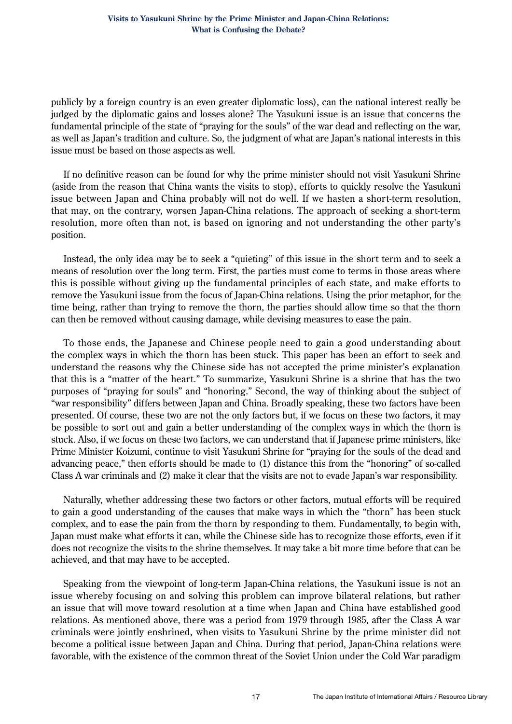publicly by a foreign country is an even greater diplomatic loss), can the national interest really be judged by the diplomatic gains and losses alone? The Yasukuni issue is an issue that concerns the fundamental principle of the state of "praying for the souls" of the war dead and reflecting on the war, as well as Japan's tradition and culture. So, the judgment of what are Japan's national interests in this issue must be based on those aspects as well.

If no definitive reason can be found for why the prime minister should not visit Yasukuni Shrine (aside from the reason that China wants the visits to stop), efforts to quickly resolve the Yasukuni issue between Japan and China probably will not do well. If we hasten a short-term resolution, that may, on the contrary, worsen Japan-China relations. The approach of seeking a short-term resolution, more often than not, is based on ignoring and not understanding the other party's position.

Instead, the only idea may be to seek a "quieting" of this issue in the short term and to seek a means of resolution over the long term. First, the parties must come to terms in those areas where this is possible without giving up the fundamental principles of each state, and make efforts to remove the Yasukuni issue from the focus of Japan-China relations. Using the prior metaphor, for the time being, rather than trying to remove the thorn, the parties should allow time so that the thorn can then be removed without causing damage, while devising measures to ease the pain.

To those ends, the Japanese and Chinese people need to gain a good understanding about the complex ways in which the thorn has been stuck. This paper has been an effort to seek and understand the reasons why the Chinese side has not accepted the prime minister's explanation that this is a "matter of the heart." To summarize, Yasukuni Shrine is a shrine that has the two purposes of "praying for souls" and "honoring." Second, the way of thinking about the subject of "war responsibility" differs between Japan and China. Broadly speaking, these two factors have been presented. Of course, these two are not the only factors but, if we focus on these two factors, it may be possible to sort out and gain a better understanding of the complex ways in which the thorn is stuck. Also, if we focus on these two factors, we can understand that if Japanese prime ministers, like Prime Minister Koizumi, continue to visit Yasukuni Shrine for "praying for the souls of the dead and advancing peace," then efforts should be made to (1) distance this from the "honoring" of so-called Class A war criminals and (2) make it clear that the visits are not to evade Japan's war responsibility.

Naturally, whether addressing these two factors or other factors, mutual efforts will be required to gain a good understanding of the causes that make ways in which the "thorn" has been stuck complex, and to ease the pain from the thorn by responding to them. Fundamentally, to begin with, Japan must make what efforts it can, while the Chinese side has to recognize those efforts, even if it does not recognize the visits to the shrine themselves. It may take a bit more time before that can be achieved, and that may have to be accepted.

Speaking from the viewpoint of long-term Japan-China relations, the Yasukuni issue is not an issue whereby focusing on and solving this problem can improve bilateral relations, but rather an issue that will move toward resolution at a time when Japan and China have established good relations. As mentioned above, there was a period from 1979 through 1985, after the Class A war criminals were jointly enshrined, when visits to Yasukuni Shrine by the prime minister did not become a political issue between Japan and China. During that period, Japan-China relations were favorable, with the existence of the common threat of the Soviet Union under the Cold War paradigm